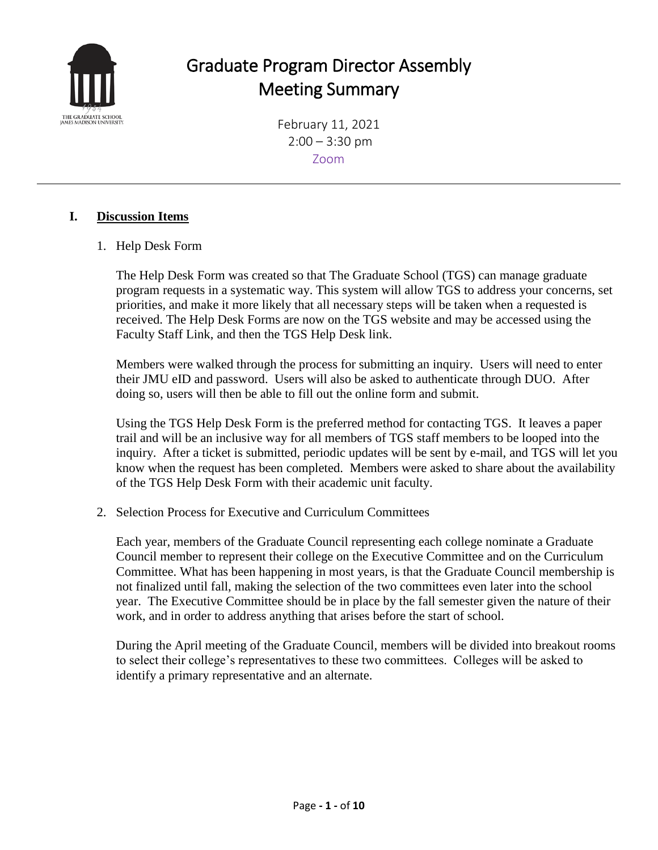

# Graduate Program Director Assembly Meeting Summary

February 11, 2021  $2:00 - 3:30$  pm Zoom

### **I. Discussion Items**

1. Help Desk Form

The Help Desk Form was created so that The Graduate School (TGS) can manage graduate program requests in a systematic way. This system will allow TGS to address your concerns, set priorities, and make it more likely that all necessary steps will be taken when a requested is received. The Help Desk Forms are now on the TGS website and may be accessed using the Faculty Staff Link, and then the TGS Help Desk link.

Members were walked through the process for submitting an inquiry. Users will need to enter their JMU eID and password. Users will also be asked to authenticate through DUO. After doing so, users will then be able to fill out the online form and submit.

Using the TGS Help Desk Form is the preferred method for contacting TGS. It leaves a paper trail and will be an inclusive way for all members of TGS staff members to be looped into the inquiry. After a ticket is submitted, periodic updates will be sent by e-mail, and TGS will let you know when the request has been completed. Members were asked to share about the availability of the TGS Help Desk Form with their academic unit faculty.

2. Selection Process for Executive and Curriculum Committees

Each year, members of the Graduate Council representing each college nominate a Graduate Council member to represent their college on the Executive Committee and on the Curriculum Committee. What has been happening in most years, is that the Graduate Council membership is not finalized until fall, making the selection of the two committees even later into the school year. The Executive Committee should be in place by the fall semester given the nature of their work, and in order to address anything that arises before the start of school.

During the April meeting of the Graduate Council, members will be divided into breakout rooms to select their college's representatives to these two committees. Colleges will be asked to identify a primary representative and an alternate.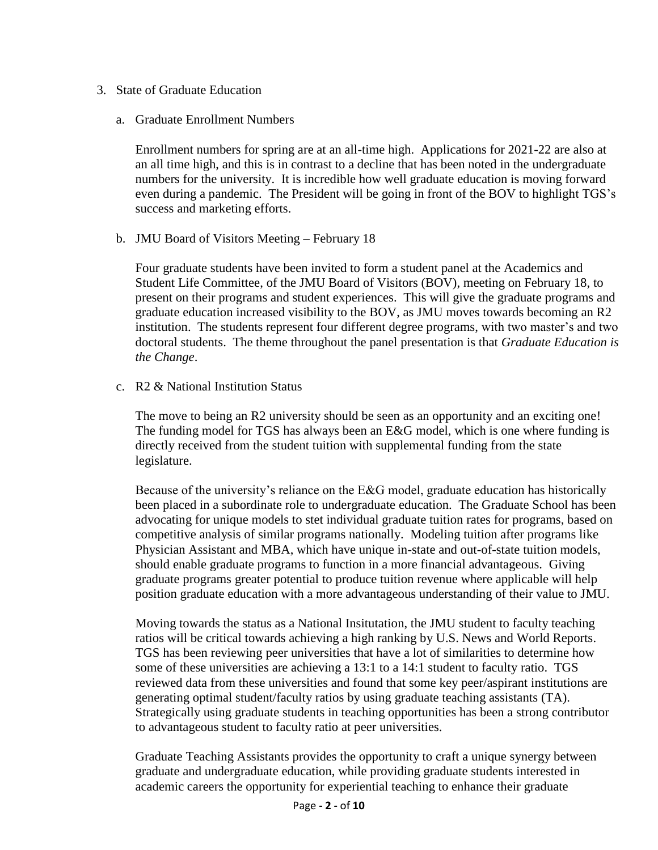- 3. State of Graduate Education
	- a. Graduate Enrollment Numbers

Enrollment numbers for spring are at an all-time high. Applications for 2021-22 are also at an all time high, and this is in contrast to a decline that has been noted in the undergraduate numbers for the university. It is incredible how well graduate education is moving forward even during a pandemic. The President will be going in front of the BOV to highlight TGS's success and marketing efforts.

b. JMU Board of Visitors Meeting – February 18

Four graduate students have been invited to form a student panel at the Academics and Student Life Committee, of the JMU Board of Visitors (BOV), meeting on February 18, to present on their programs and student experiences. This will give the graduate programs and graduate education increased visibility to the BOV, as JMU moves towards becoming an R2 institution. The students represent four different degree programs, with two master's and two doctoral students. The theme throughout the panel presentation is that *Graduate Education is the Change*.

c. R2 & National Institution Status

The move to being an R2 university should be seen as an opportunity and an exciting one! The funding model for TGS has always been an E&G model, which is one where funding is directly received from the student tuition with supplemental funding from the state legislature.

Because of the university's reliance on the E&G model, graduate education has historically been placed in a subordinate role to undergraduate education. The Graduate School has been advocating for unique models to stet individual graduate tuition rates for programs, based on competitive analysis of similar programs nationally. Modeling tuition after programs like Physician Assistant and MBA, which have unique in-state and out-of-state tuition models, should enable graduate programs to function in a more financial advantageous. Giving graduate programs greater potential to produce tuition revenue where applicable will help position graduate education with a more advantageous understanding of their value to JMU.

Moving towards the status as a National Insitutation, the JMU student to faculty teaching ratios will be critical towards achieving a high ranking by U.S. News and World Reports. TGS has been reviewing peer universities that have a lot of similarities to determine how some of these universities are achieving a 13:1 to a 14:1 student to faculty ratio. TGS reviewed data from these universities and found that some key peer/aspirant institutions are generating optimal student/faculty ratios by using graduate teaching assistants (TA). Strategically using graduate students in teaching opportunities has been a strong contributor to advantageous student to faculty ratio at peer universities.

Graduate Teaching Assistants provides the opportunity to craft a unique synergy between graduate and undergraduate education, while providing graduate students interested in academic careers the opportunity for experiential teaching to enhance their graduate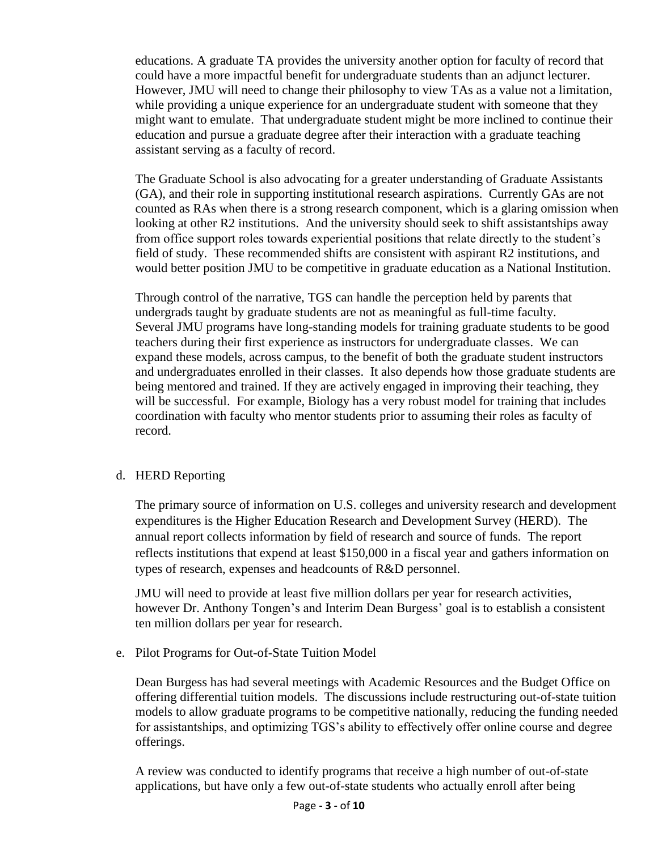educations. A graduate TA provides the university another option for faculty of record that could have a more impactful benefit for undergraduate students than an adjunct lecturer. However, JMU will need to change their philosophy to view TAs as a value not a limitation, while providing a unique experience for an undergraduate student with someone that they might want to emulate. That undergraduate student might be more inclined to continue their education and pursue a graduate degree after their interaction with a graduate teaching assistant serving as a faculty of record.

The Graduate School is also advocating for a greater understanding of Graduate Assistants (GA), and their role in supporting institutional research aspirations. Currently GAs are not counted as RAs when there is a strong research component, which is a glaring omission when looking at other R2 institutions. And the university should seek to shift assistantships away from office support roles towards experiential positions that relate directly to the student's field of study. These recommended shifts are consistent with aspirant R2 institutions, and would better position JMU to be competitive in graduate education as a National Institution.

Through control of the narrative, TGS can handle the perception held by parents that undergrads taught by graduate students are not as meaningful as full-time faculty. Several JMU programs have long-standing models for training graduate students to be good teachers during their first experience as instructors for undergraduate classes. We can expand these models, across campus, to the benefit of both the graduate student instructors and undergraduates enrolled in their classes. It also depends how those graduate students are being mentored and trained. If they are actively engaged in improving their teaching, they will be successful. For example, Biology has a very robust model for training that includes coordination with faculty who mentor students prior to assuming their roles as faculty of record.

#### d. HERD Reporting

The primary source of information on U.S. colleges and university research and development expenditures is the Higher Education Research and Development Survey (HERD). The annual report collects information by field of research and source of funds. The report reflects institutions that expend at least \$150,000 in a fiscal year and gathers information on types of research, expenses and headcounts of R&D personnel.

JMU will need to provide at least five million dollars per year for research activities, however Dr. Anthony Tongen's and Interim Dean Burgess' goal is to establish a consistent ten million dollars per year for research.

e. Pilot Programs for Out-of-State Tuition Model

Dean Burgess has had several meetings with Academic Resources and the Budget Office on offering differential tuition models. The discussions include restructuring out-of-state tuition models to allow graduate programs to be competitive nationally, reducing the funding needed for assistantships, and optimizing TGS's ability to effectively offer online course and degree offerings.

A review was conducted to identify programs that receive a high number of out-of-state applications, but have only a few out-of-state students who actually enroll after being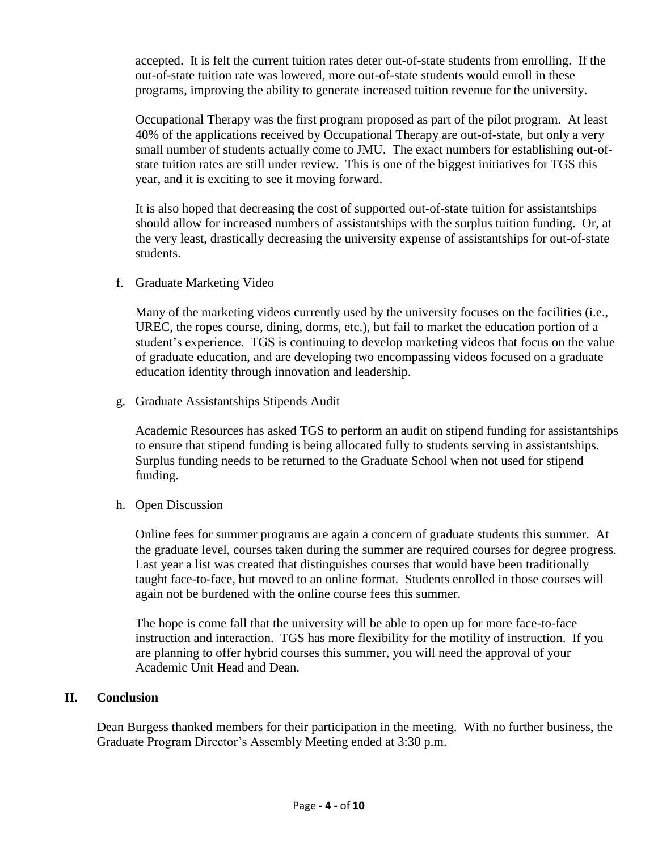accepted. It is felt the current tuition rates deter out-of-state students from enrolling. If the out-of-state tuition rate was lowered, more out-of-state students would enroll in these programs, improving the ability to generate increased tuition revenue for the university.

Occupational Therapy was the first program proposed as part of the pilot program. At least 40% of the applications received by Occupational Therapy are out-of-state, but only a very small number of students actually come to JMU. The exact numbers for establishing out-ofstate tuition rates are still under review. This is one of the biggest initiatives for TGS this year, and it is exciting to see it moving forward.

It is also hoped that decreasing the cost of supported out-of-state tuition for assistantships should allow for increased numbers of assistantships with the surplus tuition funding. Or, at the very least, drastically decreasing the university expense of assistantships for out-of-state students.

f. Graduate Marketing Video

Many of the marketing videos currently used by the university focuses on the facilities (i.e., UREC, the ropes course, dining, dorms, etc.), but fail to market the education portion of a student's experience. TGS is continuing to develop marketing videos that focus on the value of graduate education, and are developing two encompassing videos focused on a graduate education identity through innovation and leadership.

g. Graduate Assistantships Stipends Audit

Academic Resources has asked TGS to perform an audit on stipend funding for assistantships to ensure that stipend funding is being allocated fully to students serving in assistantships. Surplus funding needs to be returned to the Graduate School when not used for stipend funding.

h. Open Discussion

Online fees for summer programs are again a concern of graduate students this summer. At the graduate level, courses taken during the summer are required courses for degree progress. Last year a list was created that distinguishes courses that would have been traditionally taught face-to-face, but moved to an online format. Students enrolled in those courses will again not be burdened with the online course fees this summer.

The hope is come fall that the university will be able to open up for more face-to-face instruction and interaction. TGS has more flexibility for the motility of instruction. If you are planning to offer hybrid courses this summer, you will need the approval of your Academic Unit Head and Dean.

#### **II. Conclusion**

Dean Burgess thanked members for their participation in the meeting. With no further business, the Graduate Program Director's Assembly Meeting ended at 3:30 p.m.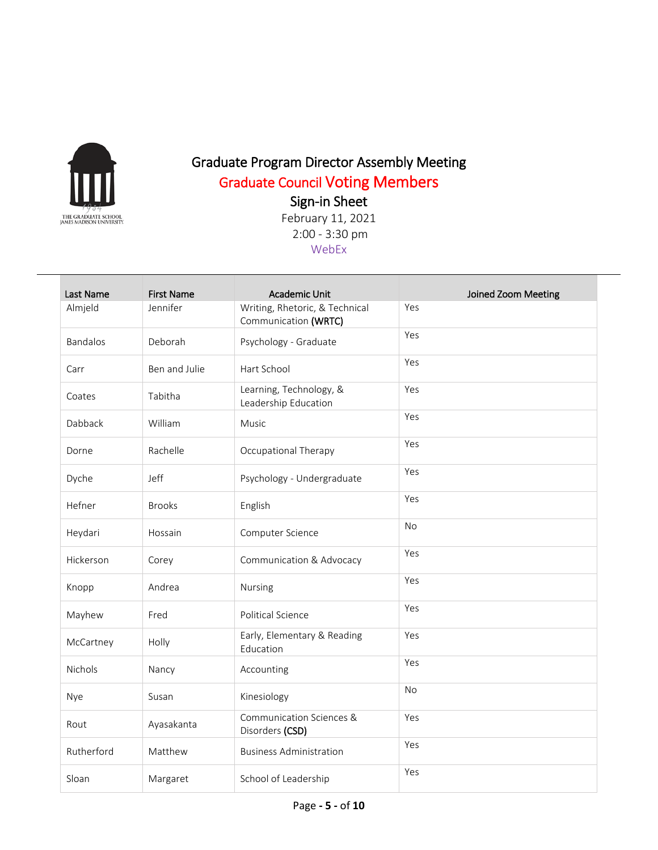

## Graduate Program Director Assembly Meeting Graduate Council Voting Members

Sign-in Sheet

| Last Name       | <b>First Name</b> | <b>Academic Unit</b>                                   | Joined Zoom Meeting |
|-----------------|-------------------|--------------------------------------------------------|---------------------|
| Almjeld         | Jennifer          | Writing, Rhetoric, & Technical<br>Communication (WRTC) | Yes                 |
| <b>Bandalos</b> | Deborah           | Psychology - Graduate                                  | Yes                 |
| Carr            | Ben and Julie     | Hart School                                            | Yes                 |
| Coates          | Tabitha           | Learning, Technology, &<br>Leadership Education        | Yes                 |
| Dabback         | William           | <b>Music</b>                                           | Yes                 |
| Dorne           | Rachelle          | Occupational Therapy                                   | Yes                 |
| Dyche           | Jeff              | Psychology - Undergraduate                             | Yes                 |
| Hefner          | <b>Brooks</b>     | English                                                | Yes                 |
| Heydari         | Hossain           | Computer Science                                       | <b>No</b>           |
| Hickerson       | Corey             | Communication & Advocacy                               | Yes                 |
| Knopp           | Andrea            | Nursing                                                | Yes                 |
| Mayhew          | Fred              | Political Science                                      | Yes                 |
| McCartney       | Holly             | Early, Elementary & Reading<br>Education               | Yes                 |
| Nichols         | Nancy             | Accounting                                             | Yes                 |
| Nye             | Susan             | Kinesiology                                            | <b>No</b>           |
| Rout            | Ayasakanta        | Communication Sciences &<br>Disorders (CSD)            | Yes                 |
| Rutherford      | Matthew           | <b>Business Administration</b>                         | Yes                 |
| Sloan           | Margaret          | School of Leadership                                   | Yes                 |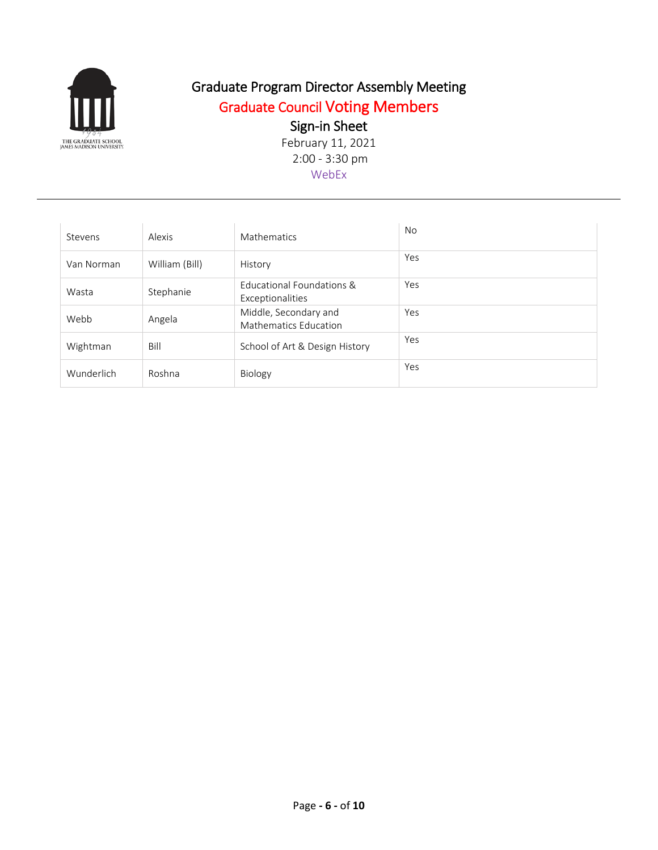

## Graduate Program Director Assembly Meeting Graduate Council Voting Members

### Sign-in Sheet

| Stevens    | Alexis         | <b>Mathematics</b>                                    | <b>No</b> |
|------------|----------------|-------------------------------------------------------|-----------|
| Van Norman | William (Bill) | History                                               | Yes       |
| Wasta      | Stephanie      | Educational Foundations &<br>Exceptionalities         | Yes       |
| Webb       | Angela         | Middle, Secondary and<br><b>Mathematics Education</b> | Yes       |
| Wightman   | Bill           | School of Art & Design History                        | Yes       |
| Wunderlich | Roshna         | Biology                                               | Yes       |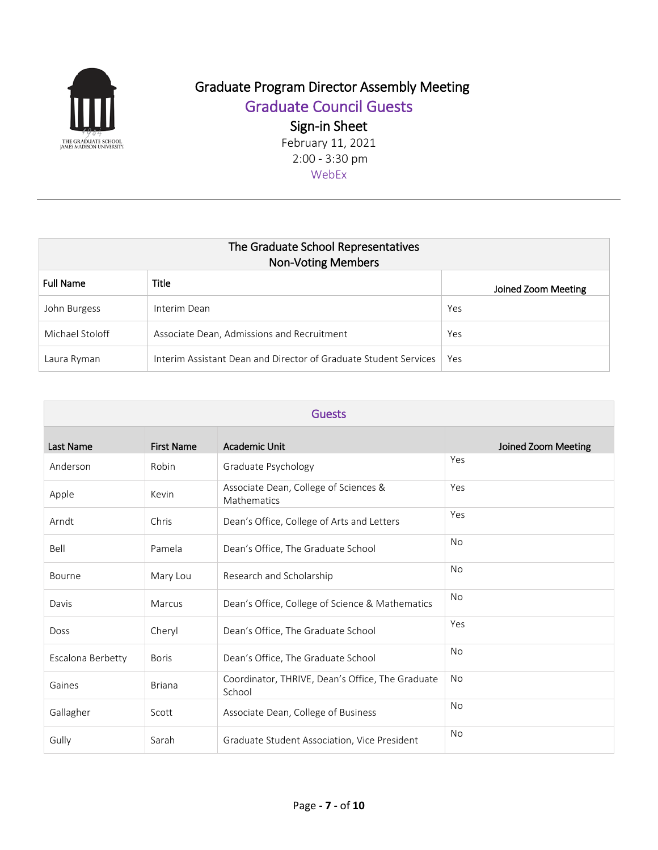

## Graduate Program Director Assembly Meeting

Graduate Council Guests

Sign-in Sheet

| The Graduate School Representatives<br><b>Non-Voting Members</b> |                                                                  |                     |  |
|------------------------------------------------------------------|------------------------------------------------------------------|---------------------|--|
| <b>Full Name</b>                                                 | Title                                                            | Joined Zoom Meeting |  |
| John Burgess                                                     | Interim Dean                                                     | Yes                 |  |
| Michael Stoloff                                                  | Associate Dean, Admissions and Recruitment                       | Yes                 |  |
| Laura Ryman                                                      | Interim Assistant Dean and Director of Graduate Student Services | Yes                 |  |

| <b>Guests</b>     |                   |                                                            |                     |
|-------------------|-------------------|------------------------------------------------------------|---------------------|
| Last Name         | <b>First Name</b> | <b>Academic Unit</b>                                       | Joined Zoom Meeting |
| Anderson          | Robin             | Graduate Psychology                                        | Yes                 |
| Apple             | Kevin             | Associate Dean, College of Sciences &<br>Mathematics       | Yes                 |
| Arndt             | Chris             | Dean's Office, College of Arts and Letters                 | Yes                 |
| Bell              | Pamela            | Dean's Office, The Graduate School                         | <b>No</b>           |
| Bourne            | Mary Lou          | Research and Scholarship                                   | <b>No</b>           |
| Davis             | Marcus            | Dean's Office, College of Science & Mathematics            | <b>No</b>           |
| <b>Doss</b>       | Cheryl            | Dean's Office, The Graduate School                         | Yes                 |
| Escalona Berbetty | <b>Boris</b>      | Dean's Office, The Graduate School                         | <b>No</b>           |
| Gaines            | <b>Briana</b>     | Coordinator, THRIVE, Dean's Office, The Graduate<br>School | <b>No</b>           |
| Gallagher         | Scott             | Associate Dean, College of Business                        | <b>No</b>           |
| Gully             | Sarah             | Graduate Student Association, Vice President               | No                  |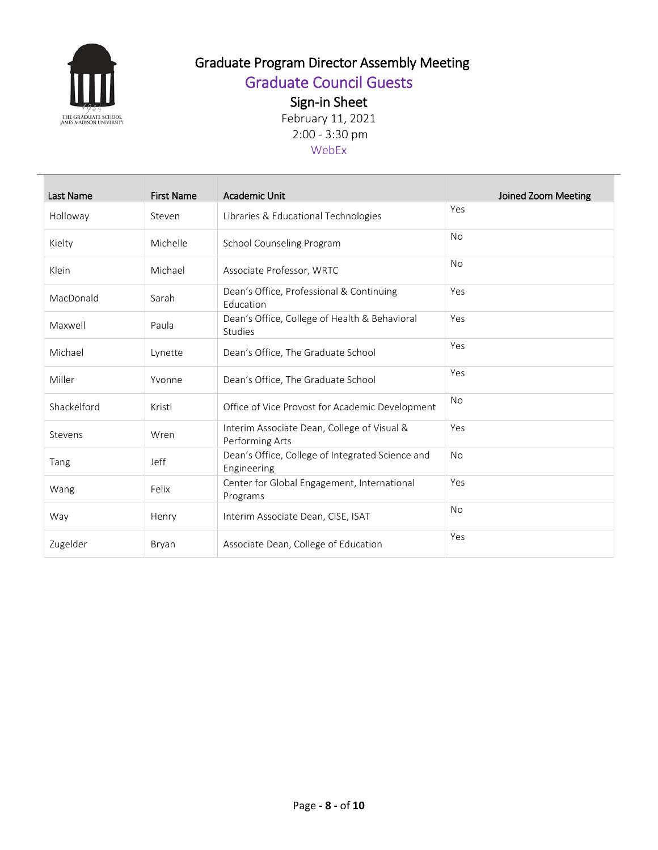

## Graduate Program Director Assembly Meeting

Graduate Council Guests

Sign-in Sheet

| Last Name   | <b>First Name</b> | Academic Unit                                                   | Joined Zoom Meeting |
|-------------|-------------------|-----------------------------------------------------------------|---------------------|
| Holloway    | Steven            | Libraries & Educational Technologies                            | Yes                 |
| Kielty      | Michelle          | School Counseling Program                                       | No                  |
| Klein       | Michael           | Associate Professor, WRTC                                       | <b>No</b>           |
| MacDonald   | Sarah             | Dean's Office, Professional & Continuing<br>Education           | Yes                 |
| Maxwell     | Paula             | Dean's Office, College of Health & Behavioral<br>Studies        | Yes                 |
| Michael     | Lynette           | Dean's Office, The Graduate School                              | Yes                 |
| Miller      | Yvonne            | Dean's Office, The Graduate School                              | Yes                 |
| Shackelford | Kristi            | Office of Vice Provost for Academic Development                 | No                  |
| Stevens     | Wren              | Interim Associate Dean, College of Visual &<br>Performing Arts  | Yes                 |
| Tang        | Jeff              | Dean's Office, College of Integrated Science and<br>Engineering | <b>No</b>           |
| Wang        | Felix             | Center for Global Engagement, International<br>Programs         | Yes                 |
| Way         | Henry             | Interim Associate Dean, CISE, ISAT                              | <b>No</b>           |
| Zugelder    | Bryan             | Associate Dean, College of Education                            | Yes                 |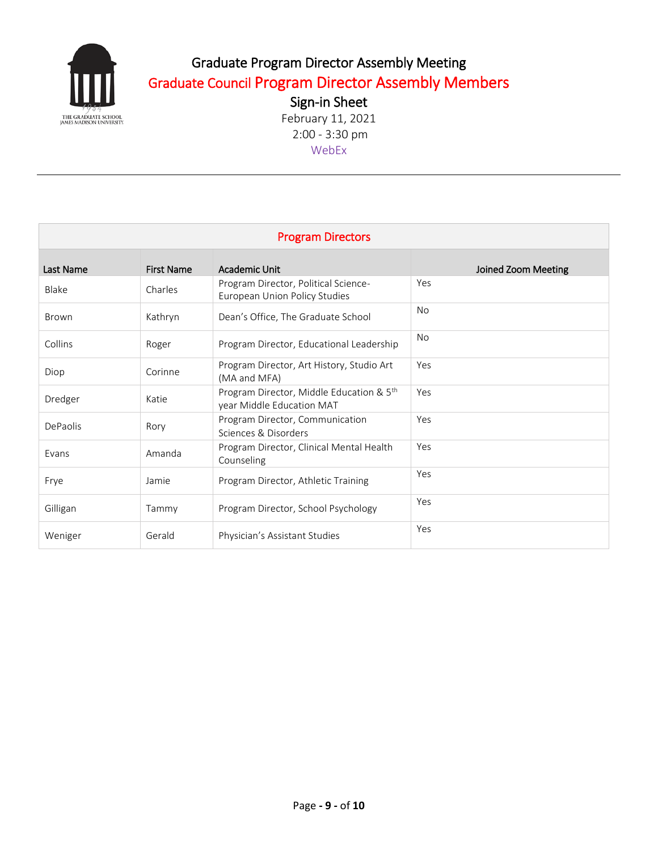

## Graduate Program Director Assembly Meeting Graduate Council Program Director Assembly Members

Sign-in Sheet February 11, 2021 2:00 - 3:30 pm WebEx

| <b>Program Directors</b> |                   |                                                                       |                     |
|--------------------------|-------------------|-----------------------------------------------------------------------|---------------------|
| Last Name                | <b>First Name</b> | Academic Unit                                                         | Joined Zoom Meeting |
| Blake                    | Charles           | Program Director, Political Science-<br>European Union Policy Studies | Yes                 |
| Brown                    | Kathryn           | Dean's Office, The Graduate School                                    | <b>No</b>           |
| Collins                  | Roger             | Program Director, Educational Leadership                              | No.                 |
| Diop                     | Corinne           | Program Director, Art History, Studio Art<br>(MA and MFA)             | Yes                 |
| Dredger                  | Katie             | Program Director, Middle Education & 5th<br>year Middle Education MAT | Yes                 |
| DePaolis                 | Rory              | Program Director, Communication<br>Sciences & Disorders               | Yes                 |
| Evans                    | Amanda            | Program Director, Clinical Mental Health<br>Counseling                | Yes                 |
| Frye                     | Jamie             | Program Director, Athletic Training                                   | Yes                 |
| Gilligan                 | Tammy             | Program Director, School Psychology                                   | Yes                 |
| Weniger                  | Gerald            | Physician's Assistant Studies                                         | Yes                 |